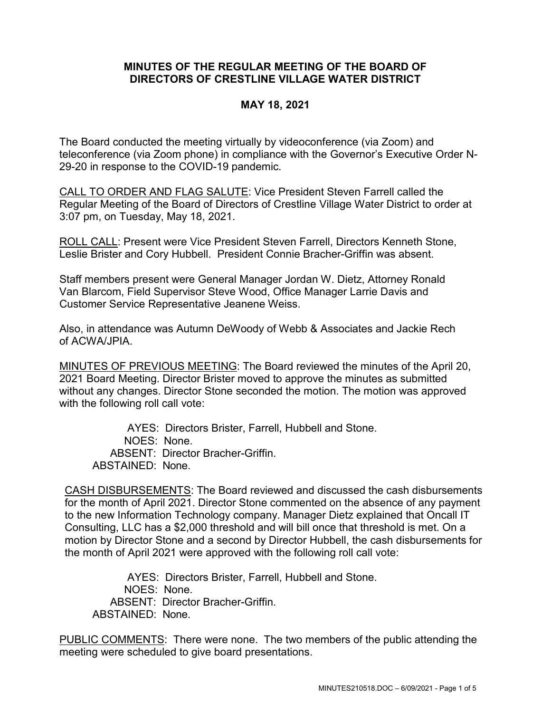## **MINUTES OF THE REGULAR MEETING OF THE BOARD OF DIRECTORS OF CRESTLINE VILLAGE WATER DISTRICT**

## **MAY 18, 2021**

The Board conducted the meeting virtually by videoconference (via Zoom) and teleconference (via Zoom phone) in compliance with the Governor's Executive Order N-29-20 in response to the COVID-19 pandemic.

CALL TO ORDER AND FLAG SALUTE: Vice President Steven Farrell called the Regular Meeting of the Board of Directors of Crestline Village Water District to order at 3:07 pm, on Tuesday, May 18, 2021.

ROLL CALL: Present were Vice President Steven Farrell, Directors Kenneth Stone, Leslie Brister and Cory Hubbell. President Connie Bracher-Griffin was absent.

Staff members present were General Manager Jordan W. Dietz, Attorney Ronald Van Blarcom, Field Supervisor Steve Wood, Office Manager Larrie Davis and Customer Service Representative Jeanene Weiss.

Also, in attendance was Autumn DeWoody of Webb & Associates and Jackie Rech of ACWA/JPIA.

MINUTES OF PREVIOUS MEETING: The Board reviewed the minutes of the April 20, 2021 Board Meeting. Director Brister moved to approve the minutes as submitted without any changes. Director Stone seconded the motion. The motion was approved with the following roll call vote:

AYES: Directors Brister, Farrell, Hubbell and Stone.

NOES: None.

ABSENT: Director Bracher-Griffin.

ABSTAINED: None.

CASH DISBURSEMENTS: The Board reviewed and discussed the cash disbursements for the month of April 2021. Director Stone commented on the absence of any payment to the new Information Technology company. Manager Dietz explained that Oncall IT Consulting, LLC has a \$2,000 threshold and will bill once that threshold is met. On a motion by Director Stone and a second by Director Hubbell, the cash disbursements for the month of April 2021 were approved with the following roll call vote:

AYES: Directors Brister, Farrell, Hubbell and Stone. NOES: None. ABSENT: Director Bracher-Griffin. ABSTAINED: None.

PUBLIC COMMENTS: There were none. The two members of the public attending the meeting were scheduled to give board presentations.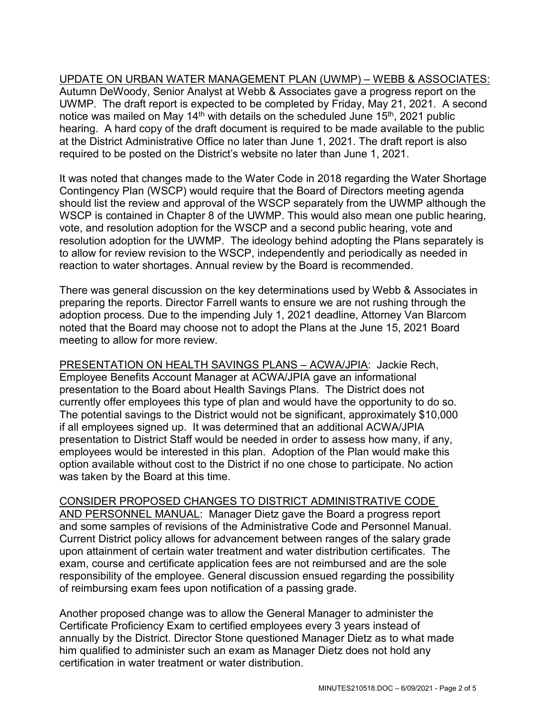UPDATE ON URBAN WATER MANAGEMENT PLAN (UWMP) – WEBB & ASSOCIATES: Autumn DeWoody, Senior Analyst at Webb & Associates gave a progress report on the UWMP. The draft report is expected to be completed by Friday, May 21, 2021. A second notice was mailed on May 14<sup>th</sup> with details on the scheduled June  $15<sup>th</sup>$ , 2021 public hearing. A hard copy of the draft document is required to be made available to the public at the District Administrative Office no later than June 1, 2021. The draft report is also required to be posted on the District's website no later than June 1, 2021.

It was noted that changes made to the Water Code in 2018 regarding the Water Shortage Contingency Plan (WSCP) would require that the Board of Directors meeting agenda should list the review and approval of the WSCP separately from the UWMP although the WSCP is contained in Chapter 8 of the UWMP. This would also mean one public hearing, vote, and resolution adoption for the WSCP and a second public hearing, vote and resolution adoption for the UWMP. The ideology behind adopting the Plans separately is to allow for review revision to the WSCP, independently and periodically as needed in reaction to water shortages. Annual review by the Board is recommended.

There was general discussion on the key determinations used by Webb & Associates in preparing the reports. Director Farrell wants to ensure we are not rushing through the adoption process. Due to the impending July 1, 2021 deadline, Attorney Van Blarcom noted that the Board may choose not to adopt the Plans at the June 15, 2021 Board meeting to allow for more review.

PRESENTATION ON HEALTH SAVINGS PLANS - ACWA/JPIA: Jackie Rech, Employee Benefits Account Manager at ACWA/JPIA gave an informational presentation to the Board about Health Savings Plans. The District does not currently offer employees this type of plan and would have the opportunity to do so. The potential savings to the District would not be significant, approximately \$10,000 if all employees signed up. It was determined that an additional ACWA/JPIA presentation to District Staff would be needed in order to assess how many, if any, employees would be interested in this plan. Adoption of the Plan would make this option available without cost to the District if no one chose to participate. No action was taken by the Board at this time.

## CONSIDER PROPOSED CHANGES TO DISTRICT ADMINISTRATIVE CODE

AND PERSONNEL MANUAL: Manager Dietz gave the Board a progress report and some samples of revisions of the Administrative Code and Personnel Manual. Current District policy allows for advancement between ranges of the salary grade upon attainment of certain water treatment and water distribution certificates. The exam, course and certificate application fees are not reimbursed and are the sole responsibility of the employee. General discussion ensued regarding the possibility of reimbursing exam fees upon notification of a passing grade.

Another proposed change was to allow the General Manager to administer the Certificate Proficiency Exam to certified employees every 3 years instead of annually by the District. Director Stone questioned Manager Dietz as to what made him qualified to administer such an exam as Manager Dietz does not hold any certification in water treatment or water distribution.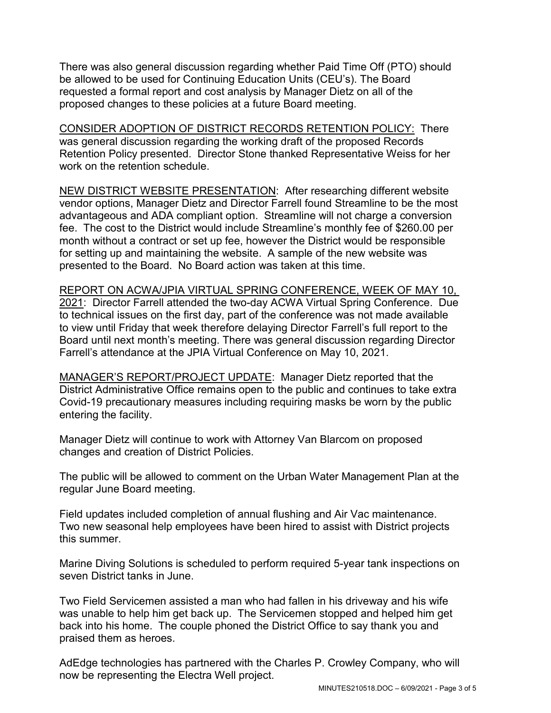There was also general discussion regarding whether Paid Time Off (PTO) should be allowed to be used for Continuing Education Units (CEU's). The Board requested a formal report and cost analysis by Manager Dietz on all of the proposed changes to these policies at a future Board meeting.

CONSIDER ADOPTION OF DISTRICT RECORDS RETENTION POLICY: There was general discussion regarding the working draft of the proposed Records Retention Policy presented. Director Stone thanked Representative Weiss for her work on the retention schedule.

NEW DISTRICT WEBSITE PRESENTATION: After researching different website vendor options, Manager Dietz and Director Farrell found Streamline to be the most advantageous and ADA compliant option. Streamline will not charge a conversion fee. The cost to the District would include Streamline's monthly fee of \$260.00 per month without a contract or set up fee, however the District would be responsible for setting up and maintaining the website. A sample of the new website was presented to the Board. No Board action was taken at this time.

REPORT ON ACWA/JPIA VIRTUAL SPRING CONFERENCE, WEEK OF MAY 10, 2021: Director Farrell attended the two-day ACWA Virtual Spring Conference. Due to technical issues on the first day, part of the conference was not made available to view until Friday that week therefore delaying Director Farrell's full report to the Board until next month's meeting. There was general discussion regarding Director Farrell's attendance at the JPIA Virtual Conference on May 10, 2021.

MANAGER'S REPORT/PROJECT UPDATE: Manager Dietz reported that the District Administrative Office remains open to the public and continues to take extra Covid-19 precautionary measures including requiring masks be worn by the public entering the facility.

Manager Dietz will continue to work with Attorney Van Blarcom on proposed changes and creation of District Policies.

The public will be allowed to comment on the Urban Water Management Plan at the regular June Board meeting.

Field updates included completion of annual flushing and Air Vac maintenance. Two new seasonal help employees have been hired to assist with District projects this summer.

Marine Diving Solutions is scheduled to perform required 5-year tank inspections on seven District tanks in June.

Two Field Servicemen assisted a man who had fallen in his driveway and his wife was unable to help him get back up. The Servicemen stopped and helped him get back into his home. The couple phoned the District Office to say thank you and praised them as heroes.

AdEdge technologies has partnered with the Charles P. Crowley Company, who will now be representing the Electra Well project.